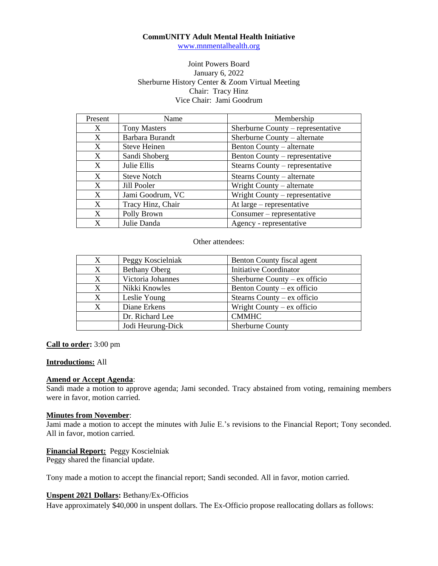## **CommUNITY Adult Mental Health Initiative**

[www.mnmentalhealth.org](http://www.mnmentalhealth.org/)

# Joint Powers Board January 6, 2022 Sherburne History Center & Zoom Virtual Meeting Chair: Tracy Hinz Vice Chair: Jami Goodrum

| Present      | Name                | Membership                        |
|--------------|---------------------|-----------------------------------|
| $\mathbf{X}$ | <b>Tony Masters</b> | Sherburne County – representative |
| X            | Barbara Burandt     | Sherburne County – alternate      |
| X            | <b>Steve Heinen</b> | Benton County – alternate         |
| X            | Sandi Shoberg       | Benton County – representative    |
| X            | Julie Ellis         | Stearns County – representative   |
| X            | <b>Steve Notch</b>  | Stearns County – alternate        |
| X            | Jill Pooler         | Wright County – alternate         |
| X            | Jami Goodrum, VC    | Wright County $-$ representative  |
| X            | Tracy Hinz, Chair   | At $large$ – representative       |
| X            | Polly Brown         | Consumer – representative         |
| X            | Julie Danda         | Agency - representative           |

Other attendees:

| X | Peggy Koscielniak    | Benton County fiscal agent      |
|---|----------------------|---------------------------------|
| X | <b>Bethany Oberg</b> | <b>Initiative Coordinator</b>   |
| X | Victoria Johannes    | Sherburne County – $ex$ officio |
| X | Nikki Knowles        | Benton County – ex officio      |
| X | Leslie Young         | Stearns County – $ex$ officio   |
| X | Diane Erkens         | Wright County $-$ ex officio    |
|   | Dr. Richard Lee      | <b>CMMHC</b>                    |
|   | Jodi Heurung-Dick    | <b>Sherburne County</b>         |

## **Call to order:** 3:00 pm

#### **Introductions:** All

#### **Amend or Accept Agenda**:

Sandi made a motion to approve agenda; Jami seconded. Tracy abstained from voting, remaining members were in favor, motion carried.

#### **Minutes from November**:

Jami made a motion to accept the minutes with Julie E.'s revisions to the Financial Report; Tony seconded. All in favor, motion carried.

## **Financial Report:** Peggy Koscielniak

Peggy shared the financial update.

Tony made a motion to accept the financial report; Sandi seconded. All in favor, motion carried.

## **Unspent 2021 Dollars:** Bethany/Ex-Officios

Have approximately \$40,000 in unspent dollars. The Ex-Officio propose reallocating dollars as follows: